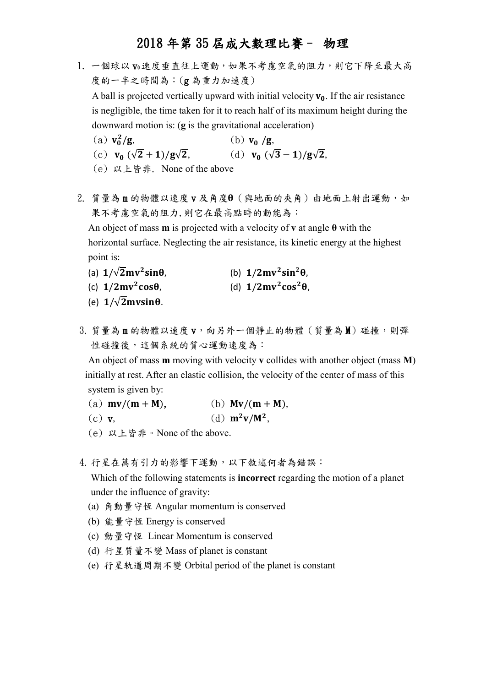1. 一個球以 v0速度垂直往上運動,如果不考慮空氣的阻力,則它下降至最大高 度的一半之時間為:(g 為重力加速度)

A ball is projected vertically upward with initial velocity  $v_0$ . If the air resistance is negligible, the time taken for it to reach half of its maximum height during the downward motion is: (**g** is the gravitational acceleration)

- (a)  $v_0^2$ (b)  $v_0/g$ ,
- (c)  $v_0 \left(\sqrt{2} + 1\right) / g \sqrt{2}$ , (d)  $v_0$ (d)  $v_0 (\sqrt{3}-1)/g\sqrt{2}$ ,
	- (e) 以上皆非. None of the above

 $2.$  質量為m的物體以速度 v 及角度 $\theta$  (與地面的夾角)由地面上射出運動, 如 果不考慮空氣的阻力,則它在最高點時的動能為:

 An object of mass **m** is projected with a velocity of **v** at angle **θ** with the horizontal surface. Neglecting the air resistance, its kinetic energy at the highest point is:

- (a)  $1/\sqrt{2}mv^2$  $\sin\theta$ , (b)  $1/2mv^2\sin^2\theta$ ,
- (c)  $1/2mv^2$  $cos\theta$ , (d)  $1/2mv^2cos^2\theta$ ,
- (e)  $1/\sqrt{2}$  m vsin  $\theta$ .
- 3. 質量為 m 的物體以速度 v,向另外一個靜止的物體 (質量為 M)碰撞,則彈 性碰撞後,這個系統的質心運動速度為:

An object of mass **m** moving with velocity **v** collides with another object (mass **M**) initially at rest. After an elastic collision, the velocity of the center of mass of this system is given by:

- (a)  $mv/(m + M)$ , (b)  $Mv/(m + M)$ ,
- (c) v,  $(d)$   $\mathbf{m}^2 \mathbf{v} / \mathbf{M}^2$ ,
- (e) 以上皆非。None of the above.
- 4. 行星在萬有引力的影響下運動,以下敘述何者為錯誤:

Which of the following statements is **incorrect** regarding the motion of a planet under the influence of gravity:

- (a) 角動量守恆 Angular momentum is conserved
- (b) 能量守恆 Energy is conserved
- (c) 動量守恆 Linear Momentum is conserved
- (d) 行星質量不變 Mass of planet is constant
- (e) 行星轨道周期不變 Orbital period of the planet is constant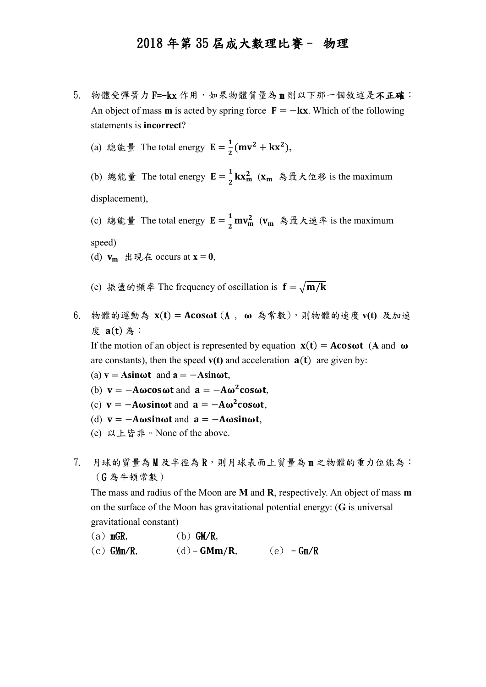- 5. 物體受彈簧力 F=-kx 作用,如果物體質量為 m 則以下那一個敘述是不正確: An object of mass **m** is acted by spring force  $\mathbf{F} = -k\mathbf{x}$ . Which of the following statements is **incorrect**?
	- (a) 總能量 The total energy  $\mathbf{E} = \frac{1}{2}$  $\frac{1}{2}$ (mv<sup>2</sup> + kx<sup>2</sup>),

(b) 總能量 The total energy  $\mathbf{E} = \frac{1}{2}$  $\frac{1}{2}$ **kx**<sub>m</sub> (x<sub>m</sub> 為最大位移 is the maximum displacement),

- (c) 總能量 The total energy  $E = \frac{1}{2}$  $\frac{1}{2}mv_m^2$  ( $v_m$  為最大速率 is the maximum speed)
- (d)  $v_m$  出現在 occurs at  $x = 0$ ,
- (e) 振盪的頻率 The frequency of oscillation is  $f = \sqrt{m/k}$
- 6. 物體的運動為 x(t) = Acosωt (A, ω 為常數),則物體的速度 v(t) 及加速 度 a(t) 為:

If the motion of an object is represented by equation  $x(t) = A\cos\omega t$  (A and  $\omega$ are constants), then the speed  $v(t)$  and acceleration  $a(t)$  are given by:

- $(a)$  **v** = **Asinot** and  $a = -$ **Asinot**,
- (b)  $v = -A\omega\cos\omega t$  and  $a = -A\omega^2\cos\omega t$ ,
- (c)  $v = -A\omega sin \omega t$  and  $a = -A\omega^2 cos \omega t$ ,
- (d)  $v = -A\omega sin \omega t$  and  $a = -A\omega sin \omega t$ ,
- (e) 以上皆非。None of the above.
- $7.$  月球的質量為M及半徑為R,則月球表面上質量為m之物體的重力位能為: (G 為牛頓常數)

The mass and radius of the Moon are **M** and **R**, respectively. An object of mass **m** on the surface of the Moon has gravitational potential energy: (**G** is universal gravitational constant)

- (a)  $mGR$ , (b)  $GM/R$ ,
- (c)  $GMm/R$ , (d)  $GMm/R$ , (e)  $Gm/R$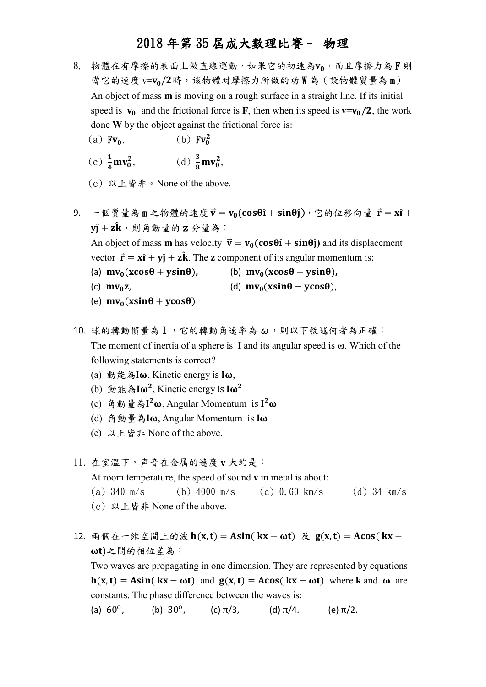- 8. 物體在有摩擦的表面上做直線運動,如果它的初速為Vo,而且摩擦力為F則 當它的速度 v=Vo/2時,该物體对摩擦力所做的功W為(設物體質量為m) An object of mass **m** is moving on a rough surface in a straight line. If its initial speed is  $v_0$  and the frictional force is **F**, then when its speed is  $v=v_0/2$ , the work done **W** by the object against the frictional force is:
	- (a)  $Fv_0$ ,  $(b)$   $Fv_0^2$
	- (c)  $\frac{1}{4}mv_0^2$ , (d)  $\frac{3}{8}$  $\frac{3}{8}mv_0^2$ ,
	- (e) 以上皆非。None of the above.
- 9. 一個質量為 m 之物體的速度  $\vec{v} = v_0(\cos\theta \hat{i} + \sin\theta \hat{j})$ , 它的位移向量  $\vec{r} = x\hat{i} + \hat{j}$  $y\hat{\textbf{i}}+\textbf{z}\hat{\textbf{k}}\cdot\textbf{y}$  ,  $\hat{\textbf{z}}\oplus\hat{\textbf{z}}\oplus\hat{\textbf{z}}$  ,  $\hat{\textbf{z}}$ An object of mass **m** has velocity  $\vec{v} = v_0(\cos\theta \hat{i} + \sin\theta \hat{j})$  and its displacement vector  $\vec{r} = x\hat{i} + y\hat{j} + z\hat{k}$ . The **z** component of its angular momentum is: (a)  $mv_0(x\cos\theta + y\sin\theta)$ , (b)  $mv_0(x\cos\theta - y\sin\theta)$ , (c)  $mv_0z$ , (d)  $mv_0(xsin\theta - ycos\theta)$ , (e)  $mv_0(x\sin\theta + y\cos\theta)$
- 10. 球的轉動慣量為 I,它的轉動角速率為 ω,則以下敘述何者為正確: The moment of inertia of a sphere is **I** and its angular speed is  $\omega$ . Which of the following statements is correct?
	- (a)  $\hat{\mathbb{B}}$   $\hat{\mathbb{B}}$   $\hat{\mathbb{A}}$   $\hat{\mathbb{I}}$   $\omega$ . Kinetic energy is  $\mathbb{I}\omega$ .
	- (b) 動能為I $\omega^2$ , Kinetic energy is I $\omega^2$
	- (c) 角動量為 $I^2\omega$ , Angular Momentum is  $I^2\omega$
	- (d) 角動量為 $I\omega$ , Angular Momentum is  $I\omega$
	- (e) 以上皆非 None of the above.

11. 在室溫下,声音在金属的速度 v 大約是: At room temperature, the speed of sound **v** in metal is about:

- (a) 340 m/s (b) 4000 m/s (c) 0.60 km/s (d) 34 km/s
- (e) 以上皆非 None of the above.
- 12. 兩個在一維空間上的波  $h(x, t) = Asin(kx \omega t)$  及  $g(x, t) = Acos(kx \omega t)$ )之間的相位差為:

Two waves are propagating in one dimension. They are represented by equations  $h(x, t) = Asin(kx - \omega t)$  and  $g(x, t) = Acos(kx - \omega t)$  where k and  $\omega$  are constants. The phase difference between the waves is:

(a)  $60^{\circ}$ , (b)  $30^{\circ}$ , (c)  $\pi/3$ , (d)  $\pi/4$ . (e)  $\pi/2$ .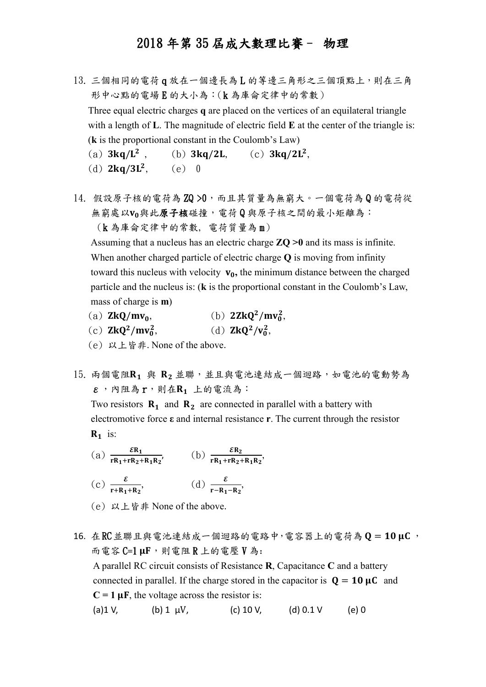- 13. 三個相同的電荷 q 放在一個邊長為 L 的等邊三角形之三個頂點上,則在三角 形中心點的電場 E 的大小為:(k 為庫侖定律中的常數) Three equal electric charges **q** are placed on the vertices of an equilateral triangle with a length of **L**. The magnitude of electric field **E** at the center of the triangle is: (**k** is the proportional constant in the Coulomb's Law) (a)  $3 \text{kg/L}^2$ , <sup>2</sup>, (b)  $3kq/2L$ , (c)  $3kq/2L^2$ ,
	- (d)  $2ka/3L^2$ .  $(e)$  0
- 14. 假設原子核的電荷為 ZQ >0,而且其質量為無窮大。一個電荷為 Q 的電荷從 無窮處以Vo與此原子核碰撞,電荷Q與原子核之間的最小矩離為: (k 為庫侖定律中的常數, 電荷質量為 m)

Assuming that a nucleus has an electric charge **ZQ >0** and its mass is infinite. When another charged particle of electric charge **Q** is moving from infinity toward this nucleus with velocity  $v_0$ , the minimum distance between the charged particle and the nucleus is: (**k** is the proportional constant in the Coulomb's Law, mass of charge is **m**)

- (a)  $\mathbf{Z} \mathbf{k} \mathbf{Q} / \mathbf{m} \mathbf{v}_0$ ,  $^{2}/mv_{0}^{2}$ ,
- (c)  $2kQ^2/mv_0^2$ , (d)  $ZkQ^2/v_0^2$ ,
- (e) 以上皆非. None of the above.
- 15. 兩個電阻R1 與 R2 並聯,並且與電池連結成一個迴路,如電池的電動勢為  $\varepsilon$ , 內阻為 $r$ , 則在 $\mathrm{R}_1$  上的電流為:

Two resistors  $\mathbf{R}_1$  and  $\mathbf{R}_2$  are connected in parallel with a battery with electromotive force **ε** and internal resistance **r**. The current through the resistor  $\mathbf{R}_1$  is:

- (a)  $\frac{\varepsilon R_1}{rR_1 + rR_2 + R_1R_2}$ , (b)  $\frac{\varepsilon R_2}{rR_1 + rR_2 + R_1R_2}$ ,
- (c)  $\frac{\varepsilon}{r + R_1 + R_2}$ , (d)  $\frac{\varepsilon}{r R_1 R_2}$ ,
- (e) 以上皆非 None of the above.
- $16.$  在 $RC$ 並聯且與電池連結成一個迴路的電路中,電容器上的電荷為  $Q = 10 \mu C$ , 而電容  $C=1$   $\mu$ F, 則電阻 R 上的電壓 V 為: A parallel RC circuit consists of Resistance **R**, Capacitance **C** and a battery connected in parallel. If the charge stored in the capacitor is  $Q = 10 \mu C$  and  $C = 1 \mu F$ , the voltage across the resistor is: (a) 1 V, (b) 1  $\mu$ V, (c) 10 V, (d) 0.1 V (e) 0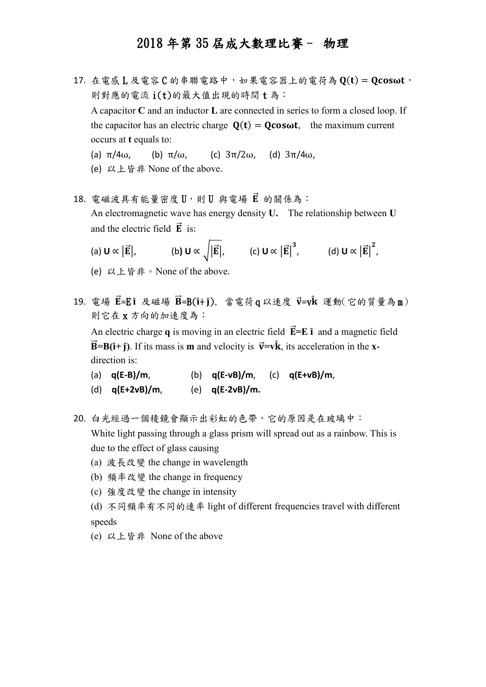- $17.$  在電感  $L$  及電容 $C$  的串聯電路中, 如果電容器上的電荷為 $Q(t) = Q$ cos $\omega t$ , 則對應的電流 i(t)的最大值出現的時間 t 為: A capacitor **C** and an inductor **L** are connected in series to form a closed loop. If the capacitor has an electric charge  $Q(t) = Q\cos\omega t$ , the maximum current occurs at **t** equals to:
	- (a)  $\pi/4\omega$ , (b)  $\pi/\omega$ , (c)  $3\pi/2\omega$ , (d)  $3\pi/4\omega$ ,
	- (e) 以上皆非 None of the above.
- 18. 電磁波具有能量密度 U,則 U 與電場 E 的關係為: An electromagnetic wave has energy density **U.** The relationship between **U** and the electric field  $\vec{E}$  is:
	- (a)  $\mathbf{U} \propto |\vec{\mathbf{E}}|$ , (b)  $\mathbf{U} \propto \sqrt{|\vec{\mathbf{E}}|}$ , (c)  $\mathbf{U} \propto |\vec{\mathbf{E}}|^3$ , (d)  $\mathbf{U} \propto |\vec{\mathbf{E}}|^2$ ,
	- (e) 以上皆非。None of the above.
- 19. 電場  $\vec{E} = E \hat{\imath}$  及磁場  $\vec{B} = B(\hat{\imath} + \hat{\jmath})$ . 當電荷 q 以速度  $\vec{v} = v\hat{k}$  運動(它的質量為 m) 則它在 x 方向的加速度為:

An electric charge  $q$  is moving in an electric field  $\vec{E} = E \hat{\imath}$  and a magnetic field  $\vec{B} = B(\hat{i} + \hat{j})$ . If its mass is **m** and velocity is  $\vec{v} = v\hat{k}$ , its acceleration in the **x**direction is:

| (a) $q(E-B)/m$ ,   | (b) $q(E-vB)/m$ , (c) $q(E+vB)/m$ , |  |
|--------------------|-------------------------------------|--|
| (d) $q(E+2vB)/m$ , | (e) $q(E-2vB)/m$ .                  |  |

- 20. 白光經過一個稜鏡會顯示出彩虹的色帶,它的原因是在玻璃中: White light passing through a glass prism will spread out as a rainbow. This is due to the effect of glass causing
	- (a) 波長改變 the change in wavelength
	- (b) 頻率改變 the change in frequency
	- (c) 強度改變 the change in intensity
	- (d) 不同頻率有不同的速率 light of different frequencies travel with different speeds
	- (e) 以上皆非 None of the above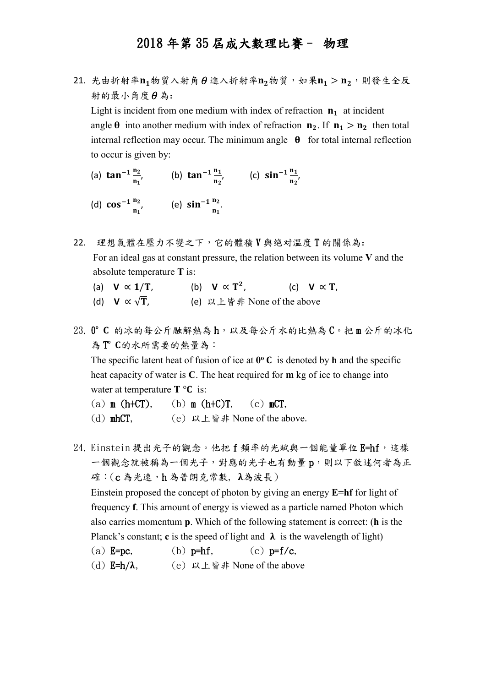21. 光由折射率 $n_1$ 物質入射角θ進入折射率 $n_2$ 物質, 如果 $n_1 > n_2$ , 則發生全反 射的最小角度θ為: Light is incident from one medium with index of refraction  $n_1$  at incident

angle  $\theta$  into another medium with index of refraction  $n_2$ . If  $n_1 > n_2$  then total internal reflection may occur. The minimum angle  $\theta$  for total internal reflection to occur is given by:

- (a)  $\tan^{-1} \frac{n_2}{n}$  $\frac{n_2}{n_1}$ , (b)  $\tan^{-1} \frac{n_1}{n_2}$  $\frac{n_1}{n_2}$ , (c)  $\sin^{-1} \frac{n_1}{n_2}$  $\frac{n_1}{n_2}$ ,
- (d)  $\cos^{-1} \frac{n_2}{n}$  $\frac{n_2}{n_1}$ , (e)  $\sin^{-1} \frac{n_2}{n_1}$  $\frac{n_2}{n_1}$ .
- 22. 理想氣體在壓力不變之下,它的體積 V 與绝对溫度 T 的關係為: For an ideal gas at constant pressure, the relation between its volume **V** and the absolute temperature **T** is:
	- (a) **V**  $\propto$  1/T, (b)  $V \propto T^2$ , (c) **V**  $\propto$  **T**,
	- (d)  $V \propto \sqrt{T}$ , (e) 以上皆非 None of the above
- 23. 0°C 的冰的每公斤融解熱為h,以及每公斤水的比熱為 C。把m公斤的冰化 為T C的水所需要的熱量為:

The specific latent heat of fusion of ice at  $0^\circ$  C is denoted by h and the specific heat capacity of water is **C**. The heat required for **m** kg of ice to change into water at temperature  $T \circ C$  is:

- (a)  $m$  (h+CT), (b)  $m$  (h+C)T, (c)  $mCT$ ,
- (d) mhCT, (e) 以上皆非 None of the above.
- 24. Einstein 提出光子的觀念。他把 f 頻率的光賦與一個能量單位 E=hf, 這樣 一個觀念就被稱為一個光子,對應的光子也有動量 p,則以下敘述何者為正 確: (c為光速,h為普朗克常數, λ為波長)

Einstein proposed the concept of photon by giving an energy **E=hf** for light of frequency **f**. This amount of energy is viewed as a particle named Photon which also carries momentum **p**. Which of the following statement is correct: (**h** is the Planck's constant; **c** is the speed of light and  $\lambda$  is the wavelength of light)

- (a)  $E=pc$ , (b)  $p=hf$ , (c)  $p=f/c$ ,
- (d)  $E=h/\lambda$ , (e)  $\forall \lambda \perp \forall \exists \hat{f}$  None of the above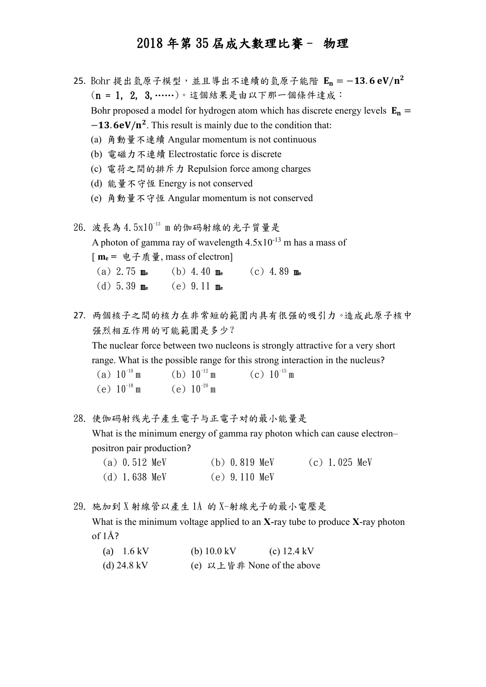- 25. Bohr 提出氫原子模型, 並且導出不連續的氫原子能階 E<sub>n</sub> = −13.6 eV/n<sup>2</sup> (n = 1, 2, 3,……)。這個結果是由以下那一個條件達成: Bohr proposed a model for hydrogen atom which has discrete energy levels  $E_n =$  $-13.6$ eV/n<sup>2</sup>. This result is mainly due to the condition that: (a) 角動量不連續 Angular momentum is not continuous
	- (b) 電磁力不連續 Electrostatic force is discrete
	- (c) 電荷之間的排斥力 Repulsion force among charges
	- (d) 能量不守恆 Energy is not conserved
	- (e) 角動量不守恆 Angular momentum is not conserved

 $26.$  波長為  $4.5x10^{-13}$  m 的伽码射線的光子質量是 A photon of gamma ray of wavelength  $4.5x10^{-13}$  m has a mass of [ **m<sup>e</sup> =** 电子质量, mass of electron] (a) 2.75 m<sup>e</sup> (b) 4.40 m<sup>e</sup> (c) 4.89 m<sup>e</sup> (d) 5.39 m<sup>e</sup> (e) 9.11 m<sup>e</sup>

27. 两個核子之間的核力在非常短的範圍内具有很强的吸引力。造成此原子核中 强烈相互作用的可能範圍是多少? The nuclear force between two nucleons is strongly attractive for a very short range. What is the possible range for this strong interaction in the nucleus? (a)  $10^{-10}$  m (b)  $10^{-12}$ m (c)  $10^{-15}$  m

(e)  $10^{-18}$  m (e)  $10^{-20}$  m

28. 使伽码射线光子產生電子与正電子对的最小能量是

What is the minimum energy of gamma ray photon which can cause electron– positron pair production?

| $(a)$ 0.512 MeV | $(b)$ 0.819 MeV | $(c)$ 1.025 MeV |
|-----------------|-----------------|-----------------|
| $(d)$ 1.638 MeV | $(e)$ 9.110 MeV |                 |

29. 施加到 X 射線管以產生 1Å 的 X-射線光子的最小電壓是 What is the minimum voltage applied to an **X-**ray tube to produce **X**-ray photon of 1Å?

| (a) $1.6 \text{ kV}$  | (b) $10.0 \text{ kV}$      | (c) $12.4 \text{ kV}$ |
|-----------------------|----------------------------|-----------------------|
| (d) $24.8 \text{ kV}$ | (e) 以上皆非 None of the above |                       |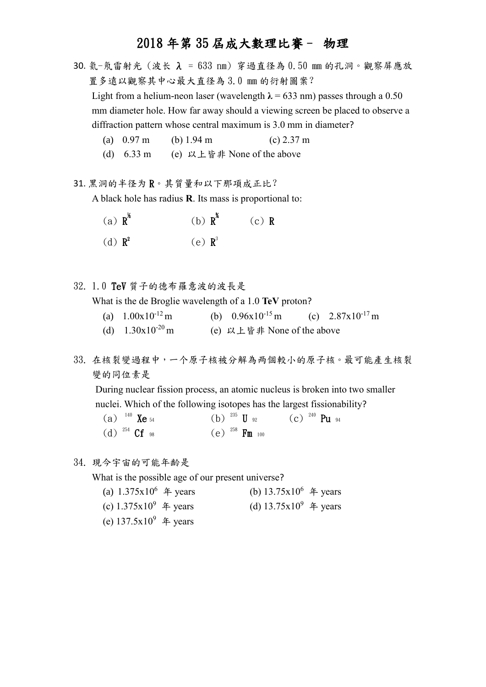- 30. 氦-氖雷射光 (波长 λ = 633 nm) 穿過直径為 0.50 mm 的孔洞。觀察屏應放 置多遠以觀察其中心最大直径為 3.0 mm 的衍射圖案? Light from a helium-neon laser (wavelength  $\lambda = 633$  nm) passes through a 0.50 mm diameter hole. How far away should a viewing screen be placed to observe a diffraction pattern whose central maximum is 3.0 mm in diameter?
	- (a) 0.97 m (b) 1.94 m (c) 2.37 m
	- (d) 6.33 m (e) 以上皆非 None of the above
- 31. 黑洞的半径为 R。其質量和以下那項成正比?

A black hole has radius **R**. Its mass is proportional to:

| (a) $\mathbf{R}^k$ | (b) $R^*$            | $(c)$ R |
|--------------------|----------------------|---------|
| (d) $\mathbf{R}^2$ | $(e)$ $\mathbf{R}^3$ |         |

32. 1.0 TeV 質子的德布羅意波的波長是

What is the de Broglie wavelength of a 1.0 **TeV** proton?

- (a)  $1.00x10^{-12}$  m (b)  $0.96x10^{-15}$  m (c)  $2.87x10^{-17}$  m
- (d)  $1.30x10^{-20}$  m (e) 以上皆非 None of the above
- 33. 在核裂變過程中,一个原子核被分解為两個較小的原子核。最可能產生核裂 變的同位素是

During nuclear fission process, an atomic nucleus is broken into two smaller nuclei. Which of the following isotopes has the largest fissionability?

| (a) $^{140}$ Xe $^{54}$ | (b) $^{235}$ U $_{92}$  | $\rm (c)$ $^{240}$ Pu $_{94}$ |
|-------------------------|-------------------------|-------------------------------|
| (d) $^{254}$ Cf $_{98}$ | $(e)^{258}$ Fm $_{100}$ |                               |

34. 現今宇宙的可能年齡是

What is the possible age of our present universe?

- (a)  $1.375x10^6$   $\#$  years (b)  $13.75x10^6$   $\#$  years (c)  $1.375x10^9$   $\text{\textsterling}$  years (d)  $13.75x10^9$   $\text{\textsterling}$  years
- (e)  $137.5x10^9$  4 years